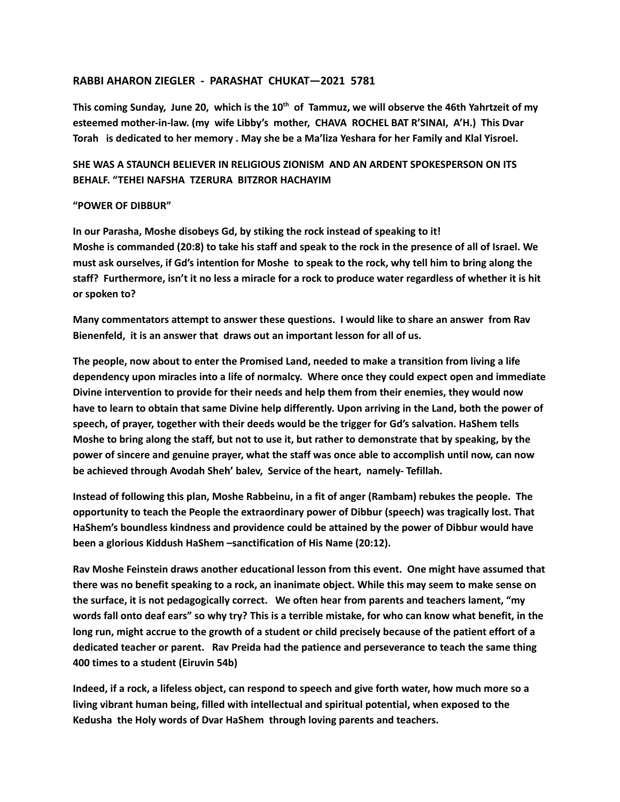## **RABBI AHARON ZIEGLER - PARASHAT CHUKAT—2021 5781**

This coming Sunday, June 20, which is the  $10^{\text{th}}$  of Tammuz, we will observe the 46th Yahrtzeit of my **esteemed mother-in-law. (my wife Libby's mother, CHAVA ROCHEL BAT R'SINAI, A'H.) This Dvar** Torah is dedicated to her memory . May she be a Ma'liza Yeshara for her Family and Klal Yisroel.

## **SHE WAS A STAUNCH BELIEVER IN RELIGIOUS ZIONISM AND AN ARDENT SPOKESPERSON ON ITS BEHALF. "TEHEI NAFSHA TZERURA BITZROR HACHAYIM**

## **"POWER OF DIBBUR"**

**In our Parasha, Moshe disobeys Gd, by stiking the rock instead of speaking to it!** Moshe is commanded (20:8) to take his staff and speak to the rock in the presence of all of Israel. We must ask ourselves, if Gd's intention for Moshe to speak to the rock, why tell him to bring along the staff? Furthermore, isn't it no less a miracle for a rock to produce water regardless of whether it is hit **or spoken to?**

**Many commentators attempt to answer these questions. I would like to share an answer from Rav Bienenfeld, it is an answer that draws out an important lesson for all of us.**

**The people, now about to enter the Promised Land, needed to make a transition from living a life dependency upon miracles into a life of normalcy. Where once they could expect open and immediate Divine intervention to provide for their needs and help them from their enemies, they would now** have to learn to obtain that same Divine help differently. Upon arriving in the Land, both the power of **speech, of prayer, together with their deeds would be the trigger for Gd's salvation. HaShem tells** Moshe to bring along the staff, but not to use it, but rather to demonstrate that by speaking, by the **power of sincere and genuine prayer, what the staff was once able to accomplish until now, can now be achieved through Avodah Sheh' balev, Service of the heart, namely- Tefillah.**

**Instead of following this plan, Moshe Rabbeinu, in a fit of anger (Rambam) rebukes the people. The opportunity to teach the People the extraordinary power of Dibbur (speech) was tragically lost. That HaShem's boundless kindness and providence could be attained by the power of Dibbur would have been a glorious Kiddush HaShem –sanctification of His Name (20:12).**

**Rav Moshe Feinstein draws another educational lesson from this event. One might have assumed that** there was no benefit speaking to a rock, an inanimate object. While this may seem to make sense on **the surface, it is not pedagogically correct. We often hear from parents and teachers lament, "my** words fall onto deaf ears" so why try? This is a terrible mistake, for who can know what benefit, in the long run, might accrue to the growth of a student or child precisely because of the patient effort of a **dedicated teacher or parent. Rav Preida had the patience and perseverance to teach the same thing 400 times to a student (Eiruvin 54b)**

Indeed, if a rock, a lifeless object, can respond to speech and give forth water, how much more so a **living vibrant human being, filled with intellectual and spiritual potential, when exposed to the Kedusha the Holy words of Dvar HaShem through loving parents and teachers.**